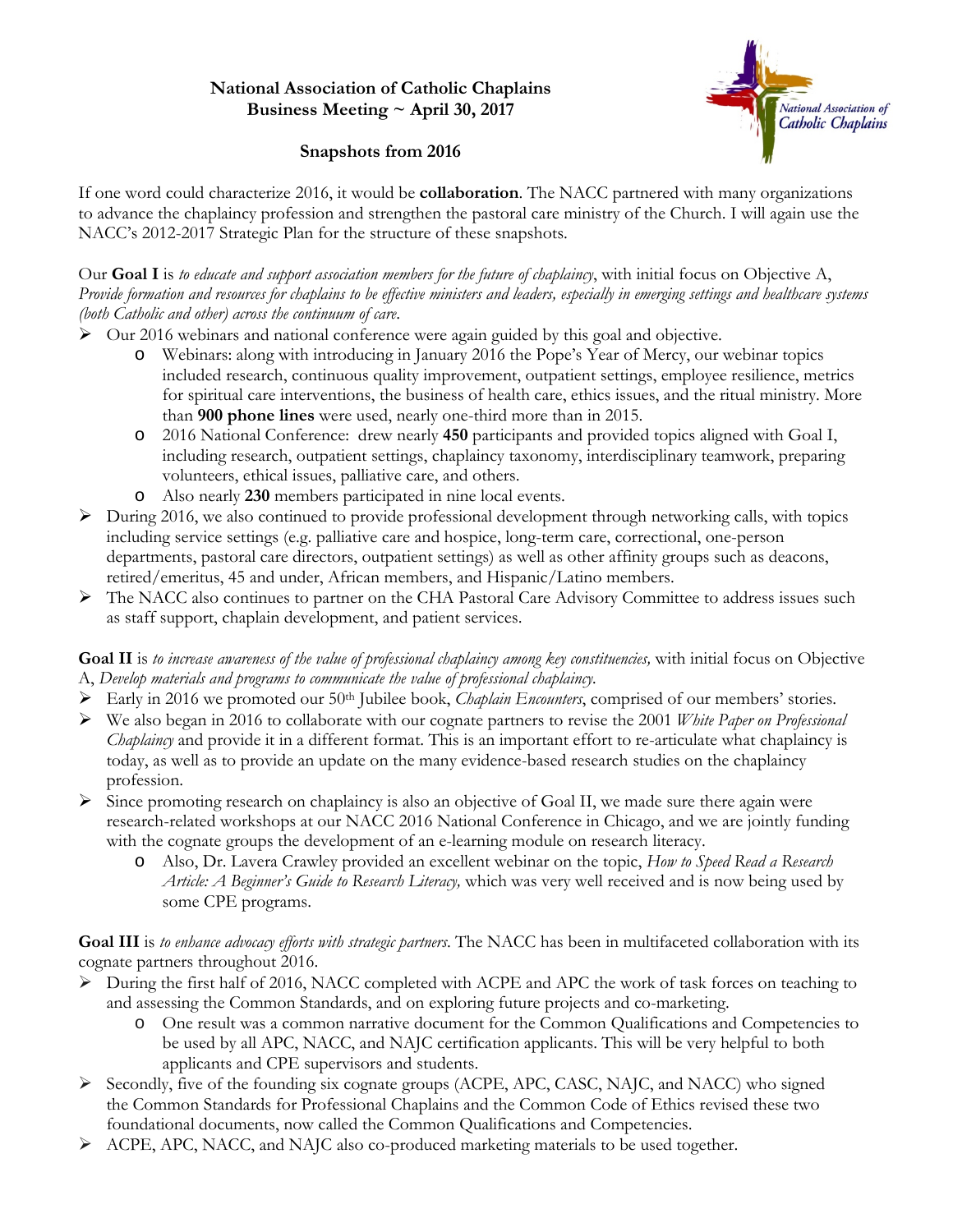## **National Association of Catholic Chaplains Business Meeting ~ April 30, 2017**



## **Snapshots from 2016**

If one word could characterize 2016, it would be **collaboration**. The NACC partnered with many organizations to advance the chaplaincy profession and strengthen the pastoral care ministry of the Church. I will again use the NACC's 2012-2017 Strategic Plan for the structure of these snapshots.

Our **Goal I** is *to educate and support association members for the future of chaplaincy*, with initial focus on Objective A, *Provide formation and resources for chaplains to be effective ministers and leaders, especially in emerging settings and healthcare systems (both Catholic and other) across the continuum of care*.

- $\triangleright$  Our 2016 webinars and national conference were again guided by this goal and objective.
	- o Webinars: along with introducing in January 2016 the Pope's Year of Mercy, our webinar topics included research, continuous quality improvement, outpatient settings, employee resilience, metrics for spiritual care interventions, the business of health care, ethics issues, and the ritual ministry. More than **900 phone lines** were used, nearly one-third more than in 2015.
	- o 2016 National Conference: drew nearly **450** participants and provided topics aligned with Goal I, including research, outpatient settings, chaplaincy taxonomy, interdisciplinary teamwork, preparing volunteers, ethical issues, palliative care, and others.
	- o Also nearly **230** members participated in nine local events.
- $\triangleright$  During 2016, we also continued to provide professional development through networking calls, with topics including service settings (e.g. palliative care and hospice, long-term care, correctional, one-person departments, pastoral care directors, outpatient settings) as well as other affinity groups such as deacons, retired/emeritus, 45 and under, African members, and Hispanic/Latino members.
- The NACC also continues to partner on the CHA Pastoral Care Advisory Committee to address issues such as staff support, chaplain development, and patient services.

**Goal II** is *to increase awareness of the value of professional chaplaincy among key constituencies,* with initial focus on Objective A, *Develop materials and programs to communicate the value of professional chaplaincy.*

- Early in 2016 we promoted our 50th Jubilee book, *Chaplain Encounters*, comprised of our members' stories.
- We also began in 2016 to collaborate with our cognate partners to revise the 2001 *White Paper on Professional Chaplaincy* and provide it in a different format. This is an important effort to re-articulate what chaplaincy is today, as well as to provide an update on the many evidence-based research studies on the chaplaincy profession.
- $\triangleright$  Since promoting research on chaplaincy is also an objective of Goal II, we made sure there again were research-related workshops at our NACC 2016 National Conference in Chicago, and we are jointly funding with the cognate groups the development of an e-learning module on research literacy.
	- o Also, Dr. Lavera Crawley provided an excellent webinar on the topic, *How to Speed Read a Research Article: A Beginner's Guide to Research Literacy,* which was very well received and is now being used by some CPE programs.

**Goal III** is *to enhance advocacy efforts with strategic partners*. The NACC has been in multifaceted collaboration with its cognate partners throughout 2016.

- $\triangleright$  During the first half of 2016, NACC completed with ACPE and APC the work of task forces on teaching to and assessing the Common Standards, and on exploring future projects and co-marketing.
	- o One result was a common narrative document for the Common Qualifications and Competencies to be used by all APC, NACC, and NAJC certification applicants. This will be very helpful to both applicants and CPE supervisors and students.
- $\triangleright$  Secondly, five of the founding six cognate groups (ACPE, APC, CASC, NAJC, and NACC) who signed the [Common Standards](http://www.nacc.org/certification/commonstandards) for Professional Chaplains and the Common Code of Ethics revised these two foundational documents, now called the Common Qualifications and Competencies.
- $\triangleright$  ACPE, APC, NACC, and NAJC also co-produced marketing materials to be used together.